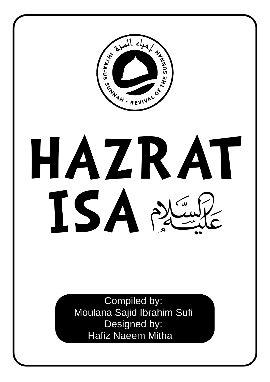

# **HAZRAT ISA**

 Compiled by: Moulana Sajid Ibrahim Sufi Designed by: Hafiz Naeem Mitha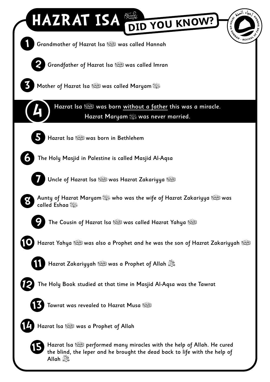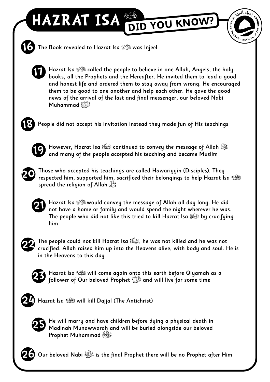# **HAZRAT ISA DID YOU KNOW?**



**16** The Book revealed to Hazrat Isa ؑ was Injeel



Hazrat Isa ؑ called the people to believe in one Allah, Angels, the holy books, all the Prophets and the Hereafter. He invited them to lead a good and honest life and ordered them to stay away from wrong. He encouraged them to be good to one another and help each other. He gave the good news of the arrival of the last and final messenger, our beloved Nabi صلى الله عليه وسلم Muhammad



People did not accept his invitation instead they made fun of His teachings



**21**

However, Hazrat Isa ؑ continued to convey the message of Allah جل جلاله **<sup>19</sup>** and many of the people accepted his teaching and became Muslim



Those who accepted his teachings are called Hawariyyin (Disciples). They respected him, supported him, sacrificed their belongings to help Hazrat Isa الطَّيِّعَةُ( spread the religion of Allah  $\mathbb{Z}_+^{\times}$ 

Hazrat Isa ؑ would convey the message of Allah all day long. He did not have a home or family and would spend the night wherever he was. The people who did not like this tried to kill Hazrat Isa ؑ by crucifying him



The people could not kill Hazrat Isa , الطَّيَّةُ , he was not killed and he was not crucified. Allah raised him up into the Heavens alive, with body and soul. He is in the Heavens to this day



Hazrat Isa ؑ will come again onto this earth before Qiyamah as a **<sup>23</sup>** follower of Our beloved Prophet صلى الله عليه وسلم and will live for some time



لِمَّةِ 244 Hazrat Isa الصَّيْعَة will kill Dajjal (The Antichrist)



He will marry and have children before dying a physical death in Madinah Munawwarah and will be buried alongside our beloved Prophet Muhammad صلى الله عليه وسلم



**26** Our beloved Nabi صلى الله عليه وسلم is the final Prophet there will be no Prophet after Him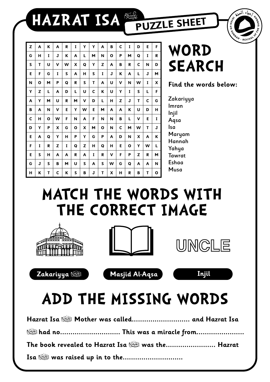**HAZRAT ISA PUZZLE SHEET**



| Z | A | K | A | R | I | Y | Y | A | B | $\mathbf c$ | I | D | E | F |
|---|---|---|---|---|---|---|---|---|---|-------------|---|---|---|---|
| G | н | I | J | K | A | L | M | N | Ο | P           | м | Q | 1 | R |
| S | Т | U | v | W | X | Q | Y | z | A | в           | R | C | N | D |
| E | F | G | 1 | S | A | н | S | 1 | J | ĸ           | A | L | J | M |
| N | Ο | М | Ρ | Q | R | S | Τ | A | U | v           | N | W | 1 | X |
| Y | z | L | A | D | L | U | C | Κ | U | Υ           | I | S | L | F |
| A | Υ | М | U | R | М | v | D | L | н | Z           | J | Т | С | G |
| в | A | N | v | Е | Υ | W | Е | M | A | Α           | К | U | D | н |
| C | н | Ο | W | F | N | A | F | N | N | В           | L | v | Е | I |
| D | Y | P | X | G | Ο | x | М | O | N | C           | М | w | Τ | J |
| Е | A | Q | Y | н | P | Y | G | P | A | D           | N | X | A | ĸ |
| F | 1 | R | z | I | Q | z | н | Q | н | E           | Ο | Y | W | L |
| Е | S | н | A | A | R | A | 1 | R | v | F           | P | z | R | М |
| G | J | S | В | М | U | S | A | S | W | G           | Q | Α | A | N |
| н | Κ | Τ | с | К | S | в | J | Τ | x | н           | R | в | Τ | ο |

**WORD SEARCH**

**Find the words below:**

**Zakariyya** Imran Injil Aqsa Isa Maryam Hannah Yahya **Tawrat** Eshaa Musa

## **MATCH THE WORDS WITH THE CORRECT IMAGE**









# **ADD THE MISSING WORDS**

|                                                               | Hazrat Isa السَّنِيَّةُ Mother was called and Hazrat Isa |  |  |  |  |
|---------------------------------------------------------------|----------------------------------------------------------|--|--|--|--|
|                                                               |                                                          |  |  |  |  |
| The book revealed to Hazrat Isa <b>Section</b> was the Hazrat |                                                          |  |  |  |  |
|                                                               |                                                          |  |  |  |  |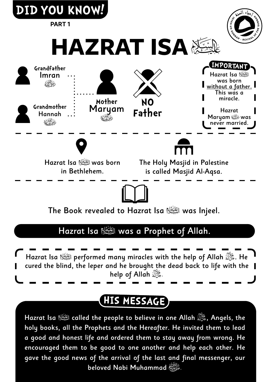

### Hazrat Isa الكَيْنَةُ was a Prophet of Allah.

Hazrat Isa السَّنِيَّةِ performed many miracles with the help of Allah السَّنِيَّةِ . He cured the blind, the leper and he brought the dead back to life with the help of Allah  $\mathbb{Z}$ .

### **HIS MESSAGE**

Hazrat Isa ﷺ called the people to believe in one Allah ﷺ, Angels, the holy books, all the Prophets and the Hereafter. He invited them to lead a good and honest life and ordered them to stay away from wrong. He encouraged them to be good to one another and help each other. He gave the good news of the arrival of the last and final messenger, our beloved Nabi Muhammad صلى الله عليه وسلم.